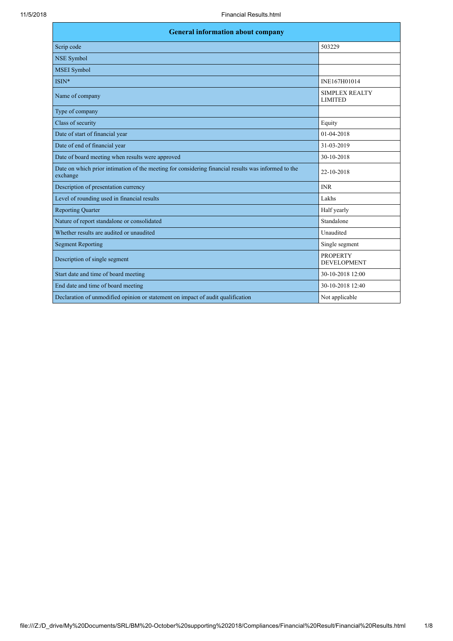| <b>General information about company</b>                                                                        |                                         |  |
|-----------------------------------------------------------------------------------------------------------------|-----------------------------------------|--|
| Scrip code                                                                                                      | 503229                                  |  |
| <b>NSE Symbol</b>                                                                                               |                                         |  |
| <b>MSEI</b> Symbol                                                                                              |                                         |  |
| ISIN*                                                                                                           | INE167H01014                            |  |
| Name of company                                                                                                 | <b>SIMPLEX REALTY</b><br><b>LIMITED</b> |  |
| Type of company                                                                                                 |                                         |  |
| Class of security                                                                                               | Equity                                  |  |
| Date of start of financial year                                                                                 | 01-04-2018                              |  |
| Date of end of financial year                                                                                   | 31-03-2019                              |  |
| Date of board meeting when results were approved                                                                | 30-10-2018                              |  |
| Date on which prior intimation of the meeting for considering financial results was informed to the<br>exchange | 22-10-2018                              |  |
| Description of presentation currency                                                                            | <b>INR</b>                              |  |
| Level of rounding used in financial results                                                                     | Lakhs                                   |  |
| <b>Reporting Quarter</b>                                                                                        | Half yearly                             |  |
| Nature of report standalone or consolidated                                                                     | Standalone                              |  |
| Whether results are audited or unaudited                                                                        | Unaudited                               |  |
| <b>Segment Reporting</b>                                                                                        | Single segment                          |  |
| Description of single segment                                                                                   | <b>PROPERTY</b><br><b>DEVELOPMENT</b>   |  |
| Start date and time of board meeting                                                                            | 30-10-2018 12:00                        |  |
| End date and time of board meeting                                                                              | 30-10-2018 12:40                        |  |
| Declaration of unmodified opinion or statement on impact of audit qualification                                 | Not applicable                          |  |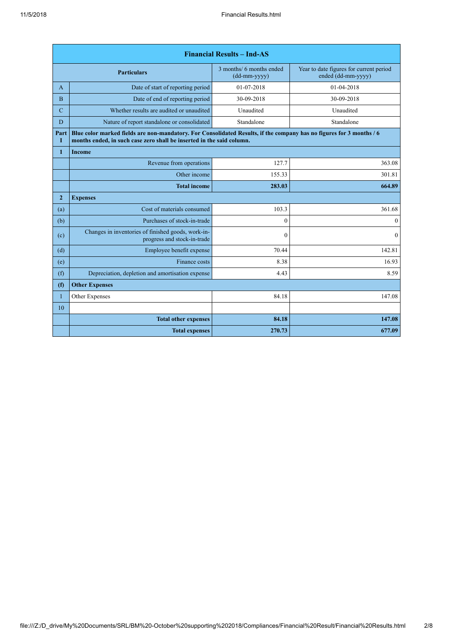| <b>Financial Results - Ind-AS</b> |                                                                                                                                                                                               |                                                              |                                                               |
|-----------------------------------|-----------------------------------------------------------------------------------------------------------------------------------------------------------------------------------------------|--------------------------------------------------------------|---------------------------------------------------------------|
|                                   | <b>Particulars</b>                                                                                                                                                                            | 3 months/ 6 months ended<br>$(dd{\text{-}\!\text{mm-}}yyyy)$ | Year to date figures for current period<br>ended (dd-mm-yyyy) |
| A                                 | Date of start of reporting period                                                                                                                                                             | 01-07-2018                                                   | 01-04-2018                                                    |
| $\overline{B}$                    | Date of end of reporting period                                                                                                                                                               | 30-09-2018                                                   | 30-09-2018                                                    |
| $\mathbf C$                       | Whether results are audited or unaudited                                                                                                                                                      | Unaudited                                                    | Unaudited                                                     |
| D                                 | Nature of report standalone or consolidated                                                                                                                                                   | Standalone                                                   | Standalone                                                    |
| Part<br>L                         | Blue color marked fields are non-mandatory. For Consolidated Results, if the company has no figures for 3 months / 6<br>months ended, in such case zero shall be inserted in the said column. |                                                              |                                                               |
| 1                                 | <b>Income</b>                                                                                                                                                                                 |                                                              |                                                               |
|                                   | Revenue from operations                                                                                                                                                                       | 127.7                                                        | 363.08                                                        |
|                                   | Other income                                                                                                                                                                                  | 155.33                                                       | 301.81                                                        |
|                                   | <b>Total income</b>                                                                                                                                                                           | 283.03                                                       | 664.89                                                        |
| $\overline{2}$                    | <b>Expenses</b>                                                                                                                                                                               |                                                              |                                                               |
| (a)                               | Cost of materials consumed                                                                                                                                                                    | 103.3                                                        | 361.68                                                        |
| (b)                               | Purchases of stock-in-trade                                                                                                                                                                   | $\Omega$                                                     | $\mathbf{0}$                                                  |
| (c)                               | Changes in inventories of finished goods, work-in-<br>progress and stock-in-trade                                                                                                             | $\boldsymbol{0}$                                             | $\mathbf{0}$                                                  |
| (d)                               | Employee benefit expense                                                                                                                                                                      | 70.44                                                        | 142.81                                                        |
| (e)                               | Finance costs                                                                                                                                                                                 | 8.38                                                         | 16.93                                                         |
| (f)                               | Depreciation, depletion and amortisation expense                                                                                                                                              | 4.43                                                         | 8.59                                                          |
| (f)                               | <b>Other Expenses</b>                                                                                                                                                                         |                                                              |                                                               |
| $\mathbf{1}$                      | Other Expenses                                                                                                                                                                                | 84.18                                                        | 147.08                                                        |
| 10                                |                                                                                                                                                                                               |                                                              |                                                               |
|                                   | <b>Total other expenses</b>                                                                                                                                                                   | 84.18                                                        | 147.08                                                        |
|                                   | <b>Total expenses</b>                                                                                                                                                                         | 270.73                                                       | 677.09                                                        |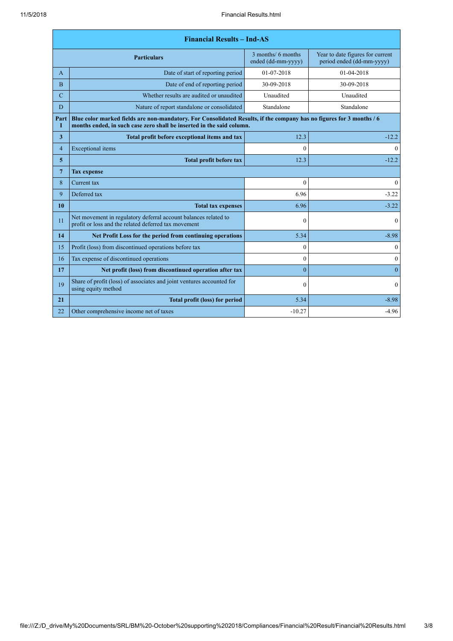| <b>Financial Results - Ind-AS</b>                               |                                                                                                                                                                                               |                                          |                                                               |
|-----------------------------------------------------------------|-----------------------------------------------------------------------------------------------------------------------------------------------------------------------------------------------|------------------------------------------|---------------------------------------------------------------|
|                                                                 | <b>Particulars</b>                                                                                                                                                                            | 3 months/ 6 months<br>ended (dd-mm-yyyy) | Year to date figures for current<br>period ended (dd-mm-yyyy) |
| A                                                               | Date of start of reporting period                                                                                                                                                             | 01-07-2018                               | 01-04-2018                                                    |
| B                                                               | Date of end of reporting period                                                                                                                                                               | 30-09-2018                               | 30-09-2018                                                    |
| Whether results are audited or unaudited<br>$\mathcal{C}$       |                                                                                                                                                                                               | Unaudited                                | Unaudited                                                     |
| D<br>Nature of report standalone or consolidated                |                                                                                                                                                                                               | Standalone                               | Standalone                                                    |
| Part<br>I                                                       | Blue color marked fields are non-mandatory. For Consolidated Results, if the company has no figures for 3 months / 6<br>months ended, in such case zero shall be inserted in the said column. |                                          |                                                               |
| 3                                                               | Total profit before exceptional items and tax                                                                                                                                                 | 12.3                                     | $-12.2$                                                       |
| $\overline{4}$                                                  | Exceptional items                                                                                                                                                                             | $\theta$                                 | $\mathbf{0}$                                                  |
| 5                                                               | <b>Total profit before tax</b>                                                                                                                                                                | 12.3                                     | $-12.2$                                                       |
| $\overline{7}$                                                  | <b>Tax expense</b>                                                                                                                                                                            |                                          |                                                               |
| 8                                                               | Current tax                                                                                                                                                                                   | $\boldsymbol{0}$                         | $\mathbf{0}$                                                  |
| 9                                                               | Deferred tax                                                                                                                                                                                  | 6.96                                     | $-3.22$                                                       |
| 10                                                              | <b>Total tax expenses</b>                                                                                                                                                                     | 6.96                                     | $-3.22$                                                       |
| 11                                                              | Net movement in regulatory deferral account balances related to<br>profit or loss and the related deferred tax movement                                                                       | $\mathbf{0}$                             | $\mathbf{0}$                                                  |
| 14<br>Net Profit Loss for the period from continuing operations |                                                                                                                                                                                               | 5.34                                     | $-8.98$                                                       |
| 15                                                              | Profit (loss) from discontinued operations before tax                                                                                                                                         | $\theta$                                 | $\boldsymbol{0}$                                              |
| 16                                                              | Tax expense of discontinued operations                                                                                                                                                        | $\mathbf{0}$                             | $\mathbf{0}$                                                  |
| 17                                                              | Net profit (loss) from discontinued operation after tax                                                                                                                                       | $\mathbf{0}$                             | $\theta$                                                      |
| 19                                                              | Share of profit (loss) of associates and joint ventures accounted for<br>using equity method                                                                                                  | $\theta$                                 | $\Omega$                                                      |
| 21                                                              | <b>Total profit (loss) for period</b>                                                                                                                                                         | 5.34                                     | $-8.98$                                                       |
| 22                                                              | Other comprehensive income net of taxes                                                                                                                                                       | $-10.27$                                 | $-4.96$                                                       |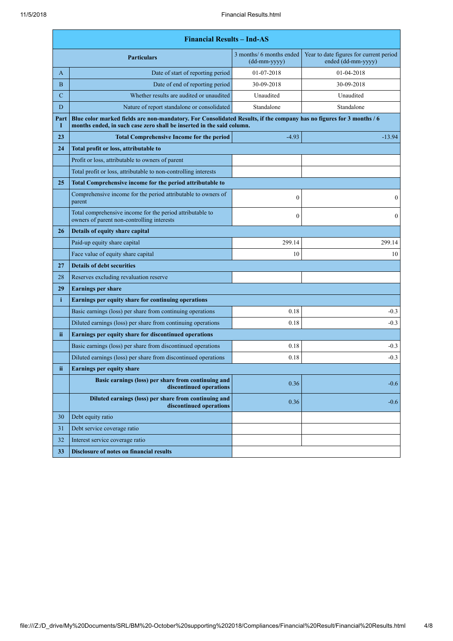|                                                                     | <b>Financial Results - Ind-AS</b>                                                                                                                                                             |                                          |                                                               |  |
|---------------------------------------------------------------------|-----------------------------------------------------------------------------------------------------------------------------------------------------------------------------------------------|------------------------------------------|---------------------------------------------------------------|--|
|                                                                     | <b>Particulars</b>                                                                                                                                                                            | 3 months/ 6 months ended<br>(dd-mm-yyyy) | Year to date figures for current period<br>ended (dd-mm-yyyy) |  |
| A                                                                   | Date of start of reporting period                                                                                                                                                             | 01-07-2018                               | 01-04-2018                                                    |  |
| B                                                                   | Date of end of reporting period                                                                                                                                                               | 30-09-2018                               | 30-09-2018                                                    |  |
| $\mathbf C$                                                         | Whether results are audited or unaudited                                                                                                                                                      | Unaudited                                | Unaudited                                                     |  |
| D                                                                   | Nature of report standalone or consolidated                                                                                                                                                   | Standalone                               | Standalone                                                    |  |
| Part<br>I                                                           | Blue color marked fields are non-mandatory. For Consolidated Results, if the company has no figures for 3 months / 6<br>months ended, in such case zero shall be inserted in the said column. |                                          |                                                               |  |
| 23                                                                  | <b>Total Comprehensive Income for the period</b>                                                                                                                                              | $-4.93$                                  | $-13.94$                                                      |  |
| 24                                                                  | Total profit or loss, attributable to                                                                                                                                                         |                                          |                                                               |  |
|                                                                     | Profit or loss, attributable to owners of parent                                                                                                                                              |                                          |                                                               |  |
|                                                                     | Total profit or loss, attributable to non-controlling interests                                                                                                                               |                                          |                                                               |  |
| 25                                                                  | Total Comprehensive income for the period attributable to                                                                                                                                     |                                          |                                                               |  |
|                                                                     | Comprehensive income for the period attributable to owners of<br>parent                                                                                                                       | $\boldsymbol{0}$                         | $\mathbf{0}$                                                  |  |
|                                                                     | Total comprehensive income for the period attributable to<br>owners of parent non-controlling interests                                                                                       | $\mathbf{0}$                             | $\boldsymbol{0}$                                              |  |
| 26                                                                  | Details of equity share capital                                                                                                                                                               |                                          |                                                               |  |
|                                                                     | Paid-up equity share capital                                                                                                                                                                  | 299.14                                   | 299.14                                                        |  |
|                                                                     | Face value of equity share capital                                                                                                                                                            | 10                                       | 10                                                            |  |
| 27                                                                  | <b>Details of debt securities</b>                                                                                                                                                             |                                          |                                                               |  |
| 28                                                                  | Reserves excluding revaluation reserve                                                                                                                                                        |                                          |                                                               |  |
| 29                                                                  | <b>Earnings per share</b>                                                                                                                                                                     |                                          |                                                               |  |
| $\mathbf{i}$<br>Earnings per equity share for continuing operations |                                                                                                                                                                                               |                                          |                                                               |  |
|                                                                     | Basic earnings (loss) per share from continuing operations                                                                                                                                    | 0.18                                     | $-0.3$                                                        |  |
|                                                                     | Diluted earnings (loss) per share from continuing operations                                                                                                                                  | 0.18                                     | $-0.3$                                                        |  |
| ii.                                                                 | Earnings per equity share for discontinued operations                                                                                                                                         |                                          |                                                               |  |
|                                                                     | Basic earnings (loss) per share from discontinued operations                                                                                                                                  | 0.18                                     | $-0.3$                                                        |  |
|                                                                     | Diluted earnings (loss) per share from discontinued operations                                                                                                                                | 0.18                                     | $-0.3$                                                        |  |
| ii                                                                  | Earnings per equity share                                                                                                                                                                     |                                          |                                                               |  |
|                                                                     | Basic earnings (loss) per share from continuing and<br>discontinued operations                                                                                                                | 0.36                                     | $-0.6$                                                        |  |
|                                                                     | Diluted earnings (loss) per share from continuing and<br>discontinued operations                                                                                                              | 0.36                                     | $-0.6$                                                        |  |
| 30                                                                  | Debt equity ratio                                                                                                                                                                             |                                          |                                                               |  |
| 31                                                                  | Debt service coverage ratio                                                                                                                                                                   |                                          |                                                               |  |
| 32                                                                  | Interest service coverage ratio                                                                                                                                                               |                                          |                                                               |  |
| 33                                                                  | <b>Disclosure of notes on financial results</b>                                                                                                                                               |                                          |                                                               |  |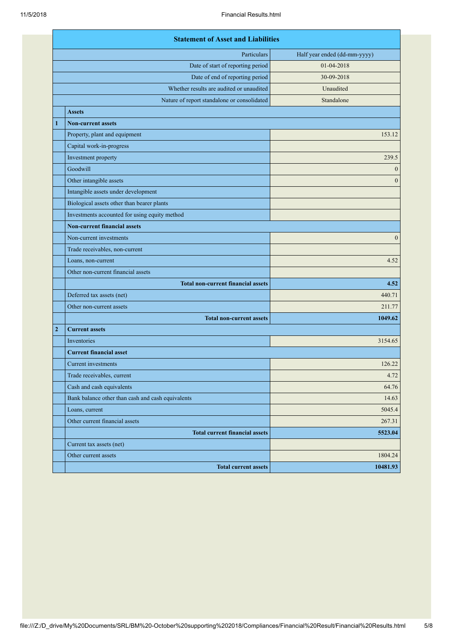|                | <b>Statement of Asset and Liabilities</b>         |                              |  |
|----------------|---------------------------------------------------|------------------------------|--|
|                | Particulars                                       | Half year ended (dd-mm-yyyy) |  |
|                | Date of start of reporting period                 | 01-04-2018                   |  |
|                | Date of end of reporting period                   | 30-09-2018                   |  |
|                | Whether results are audited or unaudited          | Unaudited                    |  |
|                | Nature of report standalone or consolidated       | Standalone                   |  |
|                | <b>Assets</b>                                     |                              |  |
| 1              | <b>Non-current assets</b>                         |                              |  |
|                | Property, plant and equipment                     | 153.12                       |  |
|                | Capital work-in-progress                          |                              |  |
|                | Investment property                               | 239.5                        |  |
|                | Goodwill                                          | $\mathbf{0}$                 |  |
|                | Other intangible assets                           | $\mathbf{0}$                 |  |
|                | Intangible assets under development               |                              |  |
|                | Biological assets other than bearer plants        |                              |  |
|                | Investments accounted for using equity method     |                              |  |
|                | <b>Non-current financial assets</b>               |                              |  |
|                | Non-current investments                           | $\mathbf{0}$                 |  |
|                | Trade receivables, non-current                    |                              |  |
|                | Loans, non-current                                | 4.52                         |  |
|                | Other non-current financial assets                |                              |  |
|                | <b>Total non-current financial assets</b>         | 4.52                         |  |
|                | Deferred tax assets (net)                         | 440.71                       |  |
|                | Other non-current assets                          | 211.77                       |  |
|                | <b>Total non-current assets</b>                   | 1049.62                      |  |
| $\overline{2}$ | <b>Current assets</b>                             |                              |  |
|                | Inventories                                       | 3154.65                      |  |
|                | <b>Current financial asset</b>                    |                              |  |
|                | Current investments                               | 126.22                       |  |
|                | Trade receivables, current                        | 4.72                         |  |
|                | Cash and cash equivalents                         | 64.76                        |  |
|                | Bank balance other than cash and cash equivalents | 14.63                        |  |
|                | Loans, current                                    | 5045.4                       |  |
|                | Other current financial assets                    | 267.31                       |  |
|                | <b>Total current financial assets</b>             | 5523.04                      |  |
|                | Current tax assets (net)                          |                              |  |
|                | Other current assets                              | 1804.24                      |  |
|                | <b>Total current assets</b>                       | 10481.93                     |  |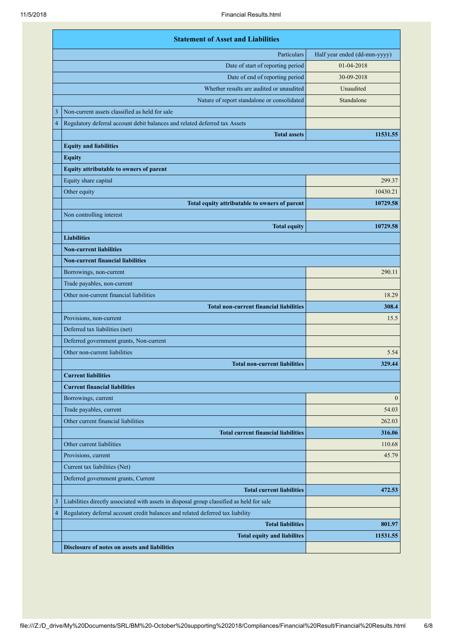|   | <b>Statement of Asset and Liabilities</b>                                                 |                              |  |
|---|-------------------------------------------------------------------------------------------|------------------------------|--|
|   | Particulars                                                                               | Half year ended (dd-mm-yyyy) |  |
|   | Date of start of reporting period                                                         | 01-04-2018                   |  |
|   | Date of end of reporting period                                                           | 30-09-2018                   |  |
|   | Whether results are audited or unaudited                                                  | Unaudited                    |  |
|   | Nature of report standalone or consolidated                                               | Standalone                   |  |
| 3 | Non-current assets classified as held for sale                                            |                              |  |
| 4 | Regulatory deferral account debit balances and related deferred tax Assets                |                              |  |
|   | <b>Total assets</b>                                                                       | 11531.55                     |  |
|   | <b>Equity and liabilities</b>                                                             |                              |  |
|   | <b>Equity</b>                                                                             |                              |  |
|   | Equity attributable to owners of parent                                                   |                              |  |
|   | Equity share capital                                                                      | 299.37                       |  |
|   | Other equity                                                                              | 10430.21                     |  |
|   | Total equity attributable to owners of parent                                             | 10729.58                     |  |
|   | Non controlling interest                                                                  |                              |  |
|   | <b>Total equity</b>                                                                       | 10729.58                     |  |
|   | <b>Liabilities</b>                                                                        |                              |  |
|   | <b>Non-current liabilities</b>                                                            |                              |  |
|   | <b>Non-current financial liabilities</b>                                                  |                              |  |
|   | Borrowings, non-current                                                                   | 290.11                       |  |
|   | Trade payables, non-current                                                               |                              |  |
|   | Other non-current financial liabilities                                                   | 18.29                        |  |
|   | <b>Total non-current financial liabilities</b>                                            | 308.4                        |  |
|   | Provisions, non-current                                                                   | 15.5                         |  |
|   | Deferred tax liabilities (net)                                                            |                              |  |
|   | Deferred government grants, Non-current                                                   |                              |  |
|   | Other non-current liabilities                                                             | 5.54                         |  |
|   | <b>Total non-current liabilities</b>                                                      | 329.44                       |  |
|   | <b>Current liabilities</b>                                                                |                              |  |
|   | <b>Current financial liabilities</b>                                                      |                              |  |
|   | Borrowings, current                                                                       | $\boldsymbol{0}$             |  |
|   | Trade payables, current                                                                   | 54.03                        |  |
|   | Other current financial liabilities                                                       | 262.03                       |  |
|   | <b>Total current financial liabilities</b>                                                | 316.06                       |  |
|   | Other current liabilities                                                                 | 110.68                       |  |
|   | Provisions, current                                                                       | 45.79                        |  |
|   | Current tax liabilities (Net)                                                             |                              |  |
|   | Deferred government grants, Current                                                       |                              |  |
|   | <b>Total current liabilities</b>                                                          | 472.53                       |  |
| 3 | Liabilities directly associated with assets in disposal group classified as held for sale |                              |  |
| 4 | Regulatory deferral account credit balances and related deferred tax liability            |                              |  |
|   | <b>Total liabilities</b>                                                                  | 801.97                       |  |
|   | <b>Total equity and liabilites</b>                                                        | 11531.55                     |  |
|   | Disclosure of notes on assets and liabilities                                             |                              |  |